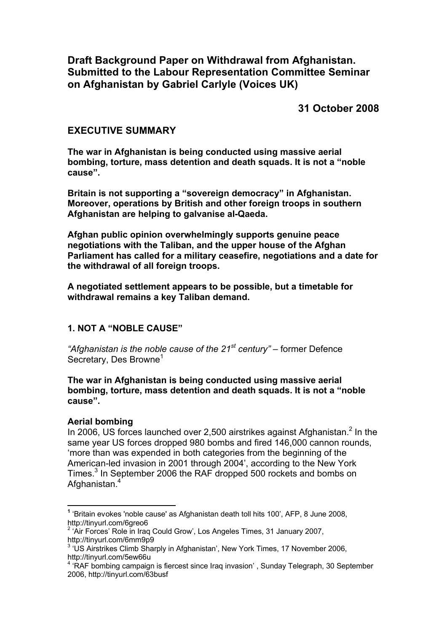**Draft Background Paper on Withdrawal from Afghanistan. Submitted to the Labour Representation Committee Seminar on Afghanistan by Gabriel Carlyle (Voices UK)**

**31 October 2008**

### **EXECUTIVE SUMMARY**

**The war in Afghanistan is being conducted using massive aerial bombing, torture, mass detention and death squads. It is not a "noble cause".**

**Britain is not supporting a "sovereign democracy" in Afghanistan. Moreover, operations by British and other foreign troops in southern Afghanistan are helping to galvanise al-Qaeda.**

**Afghan public opinion overwhelmingly supports genuine peace negotiations with the Taliban, and the upper house of the Afghan Parliament has called for a military ceasefire, negotiations and a date for the withdrawal of all foreign troops.** 

**A negotiated settlement appears to be possible, but a timetable for withdrawal remains a key Taliban demand.**

### **1. NOT A "NOBLE CAUSE"**

*"Afghanistan is the noble cause of the 21st century" –* former Defence Secretary, Des Browne<sup>[1](#page-0-0)</sup>

**The war in Afghanistan is being conducted using massive aerial bombing, torture, mass detention and death squads. It is not a "noble cause".**

### **Aerial bombing**

1

In [2](#page-0-1)006, US forces launched over 2,500 airstrikes against Afghanistan. $2$  In the same year US forces dropped 980 bombs and fired 146,000 cannon rounds, 'more than was expended in both categories from the beginning of the American-led invasion in 2001 through 2004', according to the New York Times.<sup>[3](#page-0-2)</sup> In September 2006 the RAF dropped 500 rockets and bombs on Afghanistan.<sup>[4](#page-0-3)</sup>

<span id="page-0-0"></span>**<sup>1</sup>** 'Britain evokes 'noble cause' as Afghanistan death toll hits 100', AFP, 8 June 2008, http://tinyurl.com/6greo6

<span id="page-0-1"></span><sup>&</sup>lt;sup>2</sup> 'Air Forces' Role in Iraq Could Grow', Los Angeles Times, 31 January 2007, http://tinyurl.com/6mm9p9

<span id="page-0-2"></span><sup>3</sup> 'US Airstrikes Climb Sharply in Afghanistan', New York Times, 17 November 2006, http://tinyurl.com/5ew66u

<span id="page-0-3"></span><sup>&</sup>lt;sup>4</sup> 'RAF bombing campaign is fiercest since Iraq invasion', Sunday Telegraph, 30 September 2006, http://tinyurl.com/63busf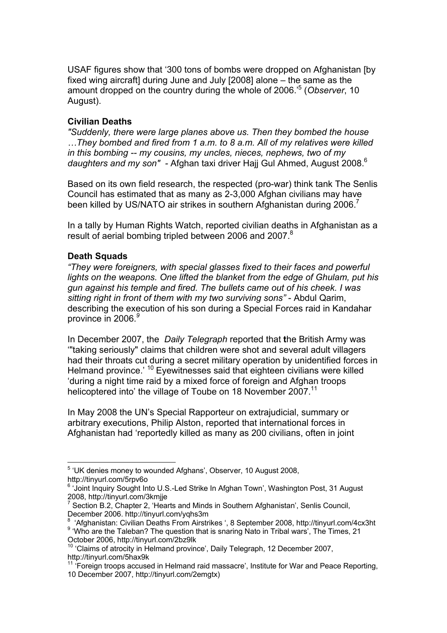USAF figures show that '300 tons of bombs were dropped on Afghanistan [by fixed wing aircraft] during June and July [2008] alone – the same as the amount dropped on the country during the whole of 2006.'[5](#page-1-0) (*Observer*, 10 August).

### **Civilian Deaths**

*"Suddenly, there were large planes above us. Then they bombed the house …They bombed and fired from 1 a.m. to 8 a.m. All of my relatives were killed in this bombing -- my cousins, my uncles, nieces, nephews, two of my daughters and my son" -* Afghan taxi driver Hajj Gul Ahmed, August 2008.[6](#page-1-1)

Based on its own field research, the respected (pro-war) think tank The Senlis Council has estimated that as many as 2-3,000 Afghan civilians may have been killed by US/NATO air strikes in southern Afghanistan during 2006.<sup>[7](#page-1-2)</sup>

In a tally by Human Rights Watch, reported civilian deaths in Afghanistan as a result of aerial bombing tripled between 2006 and 2007.<sup>[8](#page-1-3)</sup>

# **Death Squads**

*"They were foreigners, with special glasses fixed to their faces and powerful lights on the weapons. One lifted the blanket from the edge of Ghulam, put his gun against his temple and fired. The bullets came out of his cheek. I was sitting right in front of them with my two surviving sons"* - Abdul Qarim, describing the execution of his son during a Special Forces raid in Kandahar province in 2006.*[9](#page-1-4)*

In December 2007, the *Daily Telegraph* reported that **t**he British Army was '"taking seriously" claims that children were shot and several adult villagers had their throats cut during a secret military operation by unidentified forces in Helmand province.<sup>' [10](#page-1-5)</sup> Eyewitnesses said that eighteen civilians were killed 'during a night time raid by a mixed force of foreign and Afghan troops helicoptered into' the village of Toube on 18 November 2007.<sup>[11](#page-1-6)</sup>

In May 2008 the UN's Special Rapporteur on extrajudicial, summary or arbitrary executions, Philip Alston, reported that international forces in Afghanistan had 'reportedly killed as many as 200 civilians, often in joint

<span id="page-1-0"></span> 5 'UK denies money to wounded Afghans', Observer, 10 August 2008, http://tinyurl.com/5rpv6o

<span id="page-1-1"></span><sup>&</sup>lt;sup>6</sup> 'Joint Inquiry Sought Into U.S.-Led Strike In Afghan Town', Washington Post, 31 August 2008, http://tinyurl.com/3kmjje

<span id="page-1-2"></span> $7$  Section B.2, Chapter 2, 'Hearts and Minds in Southern Afghanistan', Senlis Council, December 2006. http://tinyurl.com/yqhs3m

<span id="page-1-4"></span><span id="page-1-3"></span><sup>8</sup> 'Afghanistan: Civilian Deaths From Airstrikes ', 8 September 2008, http://tinyurl.com/4cx3ht <sup>9</sup> 'Who are the Taleban? The question that is snaring Nato in Tribal wars', The Times, 21 October 2006, http://tinyurl.com/2bz9lk

<span id="page-1-5"></span><sup>&</sup>lt;sup>10</sup> 'Claims of atrocity in Helmand province', Daily Telegraph, 12 December 2007, http://tinyurl.com/5hax9k

<span id="page-1-6"></span> $11$  'Foreign troops accused in Helmand raid massacre', Institute for War and Peace Reporting, 10 December 2007, http://tinyurl.com/2emgtx)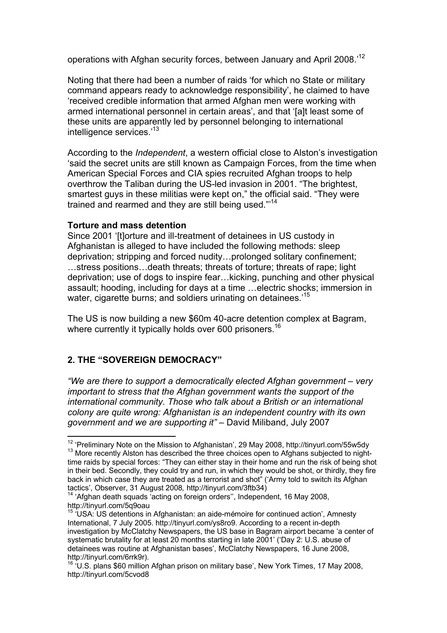operations with Afghan security forces, between January and April 2008.'[12](#page-2-0)

Noting that there had been a number of raids 'for which no State or military command appears ready to acknowledge responsibility', he claimed to have 'received credible information that armed Afghan men were working with armed international personnel in certain areas', and that '[a]t least some of these units are apparently led by personnel belonging to international intelligence services.'[13](#page-2-1)

According to the *Independent*, a western official close to Alston's investigation 'said the secret units are still known as Campaign Forces, from the time when American Special Forces and CIA spies recruited Afghan troops to help overthrow the Taliban during the US-led invasion in 2001. "The brightest, smartest guys in these militias were kept on," the official said. "They were trained and rearmed and they are still being used."'[14](#page-2-2)

#### **Torture and mass detention**

Since 2001 'Itlorture and ill-treatment of detainees in US custody in Afghanistan is alleged to have included the following methods: sleep deprivation; stripping and forced nudity…prolonged solitary confinement; …stress positions…death threats; threats of torture; threats of rape; light deprivation; use of dogs to inspire fear…kicking, punching and other physical assault; hooding, including for days at a time …electric shocks; immersion in water, cigarette burns; and soldiers urinating on detainees.<sup>15</sup>

The US is now building a new \$60m 40-acre detention co[mpl](#page-2-3)ex at Bagram, where currently it typically holds over 600 prisoners.<sup>16</sup>

# **2. THE "SOVEREIGN DEMOCRACY"**

 $\overline{a}$ 

*"We are there to support a democratically elected Afghan government – very important to stress that the Afghan government wants the support of the international community. Those who talk about a British or an international colony are quite wrong: Afghanistan is an independent country with its own government and we are supporting it" –* David Miliband, July 2007

<span id="page-2-1"></span><span id="page-2-0"></span> $12$  'Preliminary Note on the Mission to Afghanistan', 29 May 2008, http://tinyurl.com/55w5dy  $13$  More recently Alston has described the three choices open to Afghans subjected to nighttime raids by special forces: "They can either stay in their home and run the risk of being shot in their bed. Secondly, they could try and run, in which they would be shot, or thirdly, they fire back in which case they are treated as a terrorist and shot" ('Army told to switch its Afghan tactics', Observer, 31 August 2008*,* http://tinyurl.com/3ftb34)

<span id="page-2-2"></span><sup>&</sup>lt;sup>14</sup> 'Afghan death squads 'acting on foreign orders'', Independent, 16 May 2008, http://tinyurl.com/5q9oau

<span id="page-2-3"></span><sup>&</sup>lt;sup>15</sup> 'USA: US detentions in Afghanistan: an aide-mémoire for continued action', Amnesty International, 7 July 2005. http://tinyurl.com/ys8ro9. According to a recent in-depth investigation by McClatchy Newspapers, the US base in Bagram airport became 'a center of systematic brutality for at least 20 months starting in late 2001' ('Day 2: U.S. abuse of detainees was routine at Afghanistan bases', McClatchy Newspapers, 16 June 2008, http://tinyurl.com/6rrk9r).

<sup>&</sup>lt;sup>16 'U.S.</sup> plans \$60 million Afghan prison on military base', New York Times, 17 May 2008, http://tinyurl.com/5cvod8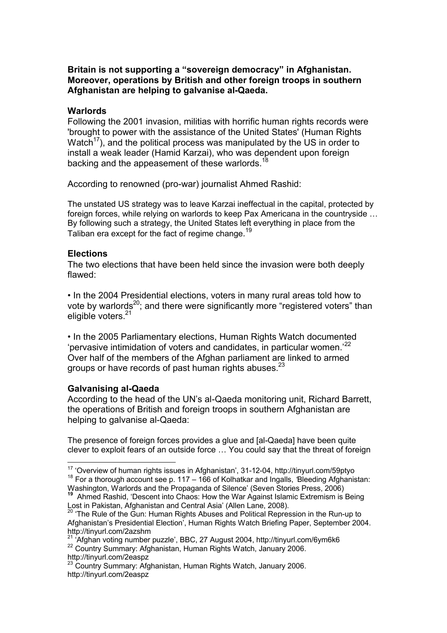### **Britain is not supporting a "sovereign democracy" in Afghanistan. Moreover, operations by British and other foreign troops in southern Afghanistan are helping to galvanise al-Qaeda.**

#### **Warlords**

Following the 2001 invasion, militias with horrific human rights records were 'brought to power with the assistance of the United States' (Human Rights Watch<sup>17</sup>), and the political process was manipulated by the US in order to install a weak leader (Hamid Karzai), who was dependent upon foreign backi[ng](#page-3-0) and the appeasement of these warlords.<sup>18</sup>

According to renowned (pro-war) journalist Ahm[ed](#page-3-1) Rashid:

The unstated US strategy was to leave Karzai ineffectual in the capital, protected by foreign forces, while relying on warlords to keep Pax Americana in the countryside … By following such a strategy, the United States left everything in place from the Taliban era except for the fact of regime change*.* 19

#### **Elections**

The two elections that have been held since [th](#page-3-2)e invasion were both deeply flawed:

• In the 2004 Presidential elections, voters in many rural areas told how to vote by warlords<sup>20</sup>; and there were significantly more "registered voters" than eligible voters.<sup>21</sup>

• In the 2005 Pa[rlia](#page-3-3)mentary elections, Human Rights Watch documented 'pervasive inti[mi](#page-3-4)dation of voters and candidates, in particular women.'<sup>22</sup> Over half of the members of the Afghan parliament are linked to armed groups or have records of past human rights abuses. $^{23}$ 

### **Galvanising al-Qaeda**

1

According to the head of the UN's al-Qaeda monitoring unit, Richard Barrett, the operations of British and foreign troops in southe[rn](#page-3-5) Afghanistan are helping to galvanise al-Qaeda:

The presence of foreign forces provides a glue and [al-Qaeda] have been quite clever to exploit fears of an outside force … You could say that the threat of foreign

<span id="page-3-2"></span>Ahmed Rashid, 'Descent into Chaos: How the War Against Islamic Extremism is Being Lost in Pakistan, Afghanistan and Central Asia' (Allen Lane, 2008).

<span id="page-3-1"></span><span id="page-3-0"></span> $17$  'Overview of human rights issues in Afghanistan', 31-12-04, http://tinyurl.com/59ptyo <sup>18</sup> For a thorough account see p. 117 – 166 of Kolhatkar and Ingalls, *'*Bleeding Afghanistan: Washington, Warlords and the Propaganda of Silence' (Seven Stories Press, 2006)

<span id="page-3-3"></span><sup>&</sup>lt;sup>20</sup> 'The Rule of the Gun: Human Rights Abuses and Political Repression in the Run-up to Afghanistan's Presidential Election', Human Rights Watch Briefing Paper, September 2004. http://tinyurl.com/2azshm

<span id="page-3-4"></span><sup>&</sup>lt;sup>21</sup> 'Afghan voting number puzzle', BBC, 27 August 2004, http://tinyurl.com/6ym6k6 <sup>22</sup> Country Summary: Afghanistan, Human Rights Watch, January 2006. http://tinyurl.com/2easpz

<span id="page-3-5"></span><sup>&</sup>lt;sup>23</sup> Country Summary: Afghanistan, Human Rights Watch, January 2006. http://tinyurl.com/2easpz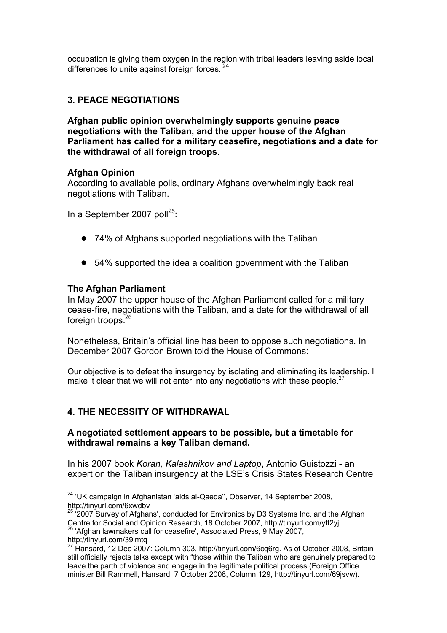occupation is giving them oxygen in the region with tribal leaders leaving aside local differences to unite against foreign forces. <sup>24</sup>

# **3. PEACE NEGOTIATIONS**

**Afghan public opinion overwhelmingly supports genuine peace negotiations with the Taliban, and the upper house of the Afghan Parliament has called for a military [ce](#page-4-0)asefire, negotiations and a date for the withdrawal of all foreign troops.**

#### **Afghan Opinion**

According to available polls, ordinary Afghans overwhelmingly back real negotiations with Taliban.

In a September 2007 poll<sup>25</sup>:

- 74% of Afghans supported negotiations with the Taliban
- 54% supported the idea a coalition government with the Taliban

#### **The Afghan Parliament**

<u>.</u>

In May 2007 the upper h[ou](#page-4-1)se of the Afghan Parliament called for a military cease-fire, negotiations with the Taliban, and a date for the withdrawal of all foreign troops.<sup>26</sup>

Nonetheless, Britain's official line has been to oppose such negotiations. In December 2007 Gordon Brown told the House of Commons:

Our objective is to defeat the insurgency by isolating and eliminating its leadership. I make it clear that we will not enter into any negotiations with these people.<sup>27</sup>

### **4. THE NECE[SS](#page-4-2)ITY OF WITHDRAWAL**

### **A negotiated settlement appears to be possible, but a timetable for withdrawal remains a key Taliban demand.**

In his 2007 book *Koran, Kalashnikov and Laptop*, Antonio Guistozzi - an expert on the Taliban insurgency at the LSE's Crisis States Research Centre

<sup>&</sup>lt;sup>24</sup> 'UK campaign in Afghanistan 'aids al-Qaeda", Observer, 14 September 2008, http://tinyurl.com/6xwdbv

<span id="page-4-0"></span> $25$  '2007 Survey of Afghans', conducted for Environics by D3 Systems Inc. and the Afghan Centre for Social and Opinion Research, 18 October 2007, http://tinyurl.com/ytt2yj <sup>26</sup> 'Afghan lawmakers call for ceasefire', Associated Press, 9 May 2007, http://tinyurl.com/39lmtq

<span id="page-4-2"></span><span id="page-4-1"></span><sup>27</sup> Hansard, 12 Dec 2007: Column 303, http://tinyurl.com/6cq6rg. As of October 2008, Britain still officially rejects talks except with "those within the Taliban who are genuinely prepared to leave the parth of violence and engage in the legitimate political process (Foreign Office minister Bill Rammell, Hansard, 7 October 2008, Column 129, http://tinyurl.com/69jsvw).